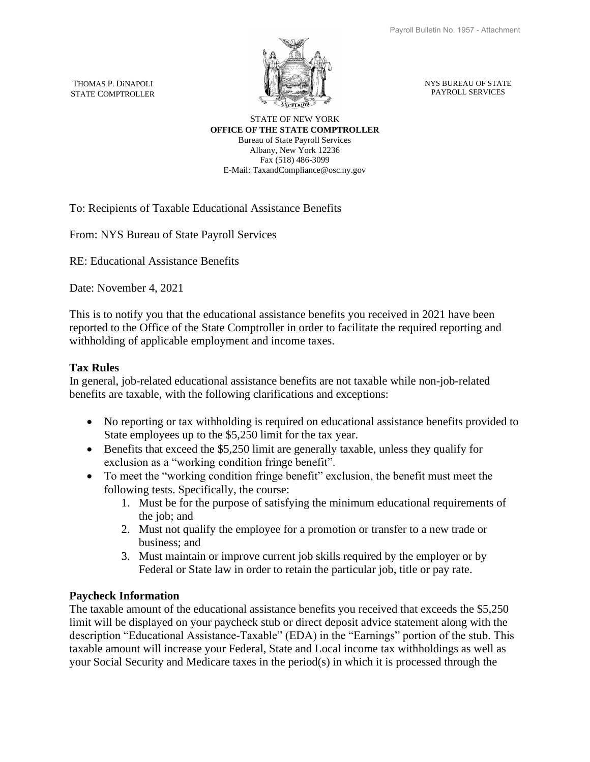THOMAS P. DiNAPOLI STATE COMPTROLLER



NYS BUREAU OF STATE PAYROLL SERVICES

## STATE OF NEW YORK **OFFICE OF THE STATE COMPTROLLER**

Bureau of State Payroll Services Albany, New York 12236 Fax (518) 486-3099 E-Mail: TaxandCompliance@osc.ny.gov

To: Recipients of Taxable Educational Assistance Benefits

From: NYS Bureau of State Payroll Services

RE: Educational Assistance Benefits

Date: November 4, 2021

This is to notify you that the educational assistance benefits you received in 2021 have been reported to the Office of the State Comptroller in order to facilitate the required reporting and withholding of applicable employment and income taxes.

## **Tax Rules**

In general, job-related educational assistance benefits are not taxable while non-job-related benefits are taxable, with the following clarifications and exceptions:

- No reporting or tax withholding is required on educational assistance benefits provided to State employees up to the \$5,250 limit for the tax year.
- Benefits that exceed the \$5,250 limit are generally taxable, unless they qualify for exclusion as a "working condition fringe benefit".
- To meet the "working condition fringe benefit" exclusion, the benefit must meet the following tests. Specifically, the course:
	- 1. Must be for the purpose of satisfying the minimum educational requirements of the job; and
	- 2. Must not qualify the employee for a promotion or transfer to a new trade or business; and
	- 3. Must maintain or improve current job skills required by the employer or by Federal or State law in order to retain the particular job, title or pay rate.

## **Paycheck Information**

The taxable amount of the educational assistance benefits you received that exceeds the \$5,250 limit will be displayed on your paycheck stub or direct deposit advice statement along with the description "Educational Assistance-Taxable" (EDA) in the "Earnings" portion of the stub. This taxable amount will increase your Federal, State and Local income tax withholdings as well as your Social Security and Medicare taxes in the period(s) in which it is processed through the